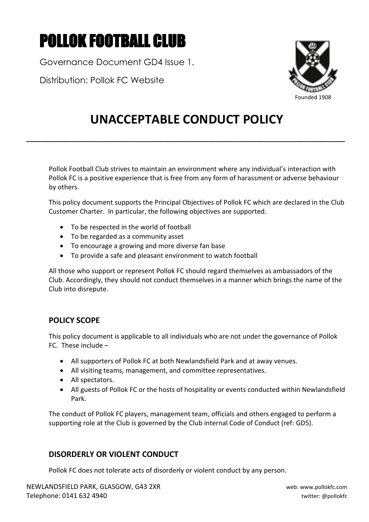# POLLOK FOOTBALL CLUB

Governance Document GD4 Issue 1.

Distribution: Pollok FC Website



# **UNACCEPTABLE CONDUCT POLICY**

**\_\_\_\_\_\_\_\_\_\_\_\_\_\_\_\_\_\_\_\_\_\_\_\_\_\_\_\_\_\_\_\_\_\_\_\_\_\_\_\_\_\_\_\_\_\_\_\_\_\_\_\_\_\_\_\_\_\_\_\_\_\_\_\_\_\_\_\_\_\_\_\_\_\_\_\_\_\_\_\_\_\_\_\_\_\_**

Pollok Football Club strives to maintain an environment where any individual's interaction with Pollok FC is a positive experience that is free from any form of harassment or adverse behaviour by others.

This policy document supports the Principal Objectives of Pollok FC which are declared in the Club Customer Charter. In particular, the following objectives are supported.

- To be respected in the world of football
- To be regarded as a community asset
- To encourage a growing and more diverse fan base
- To provide a safe and pleasant environment to watch football

All those who support or represent Pollok FC should regard themselves as ambassadors of the Club. Accordingly, they should not conduct themselves in a manner which brings the name of the Club into disrepute.

# **POLICY SCOPE**

This policy document is applicable to all individuals who are not under the governance of Pollok FC. These include –

- All supporters of Pollok FC at both Newlandsfield Park and at away venues.
- All visiting teams, management, and committee representatives.
- All spectators.
- All guests of Pollok FC or the hosts of hospitality or events conducted within Newlandsfield Park.

The conduct of Pollok FC players, management team, officials and others engaged to perform a supporting role at the Club is governed by the Club internal Code of Conduct (ref: GD5).

# **DISORDERLY OR VIOLENT CONDUCT**

Pollok FC does not tolerate acts of disorderly or violent conduct by any person.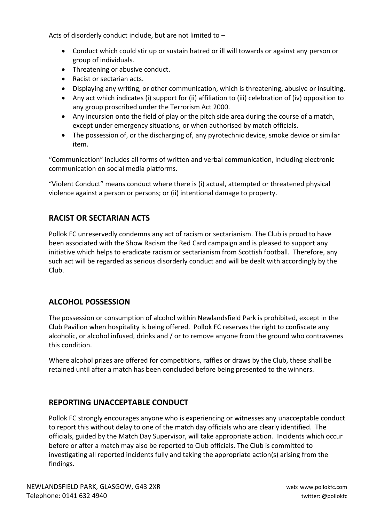Acts of disorderly conduct include, but are not limited to –

- Conduct which could stir up or sustain hatred or ill will towards or against any person or group of individuals.
- Threatening or abusive conduct.
- Racist or sectarian acts.
- Displaying any writing, or other communication, which is threatening, abusive or insulting.
- Any act which indicates (i) support for (ii) affiliation to (iii) celebration of (iv) opposition to any group proscribed under the Terrorism Act 2000.
- Any incursion onto the field of play or the pitch side area during the course of a match, except under emergency situations, or when authorised by match officials.
- The possession of, or the discharging of, any pyrotechnic device, smoke device or similar item.

"Communication" includes all forms of written and verbal communication, including electronic communication on social media platforms.

"Violent Conduct" means conduct where there is (i) actual, attempted or threatened physical violence against a person or persons; or (ii) intentional damage to property.

# **RACIST OR SECTARIAN ACTS**

Pollok FC unreservedly condemns any act of racism or sectarianism. The Club is proud to have been associated with the Show Racism the Red Card campaign and is pleased to support any initiative which helps to eradicate racism or sectarianism from Scottish football. Therefore, any such act will be regarded as serious disorderly conduct and will be dealt with accordingly by the Club.

### **ALCOHOL POSSESSION**

The possession or consumption of alcohol within Newlandsfield Park is prohibited, except in the Club Pavilion when hospitality is being offered. Pollok FC reserves the right to confiscate any alcoholic, or alcohol infused, drinks and / or to remove anyone from the ground who contravenes this condition.

Where alcohol prizes are offered for competitions, raffles or draws by the Club, these shall be retained until after a match has been concluded before being presented to the winners.

### **REPORTING UNACCEPTABLE CONDUCT**

Pollok FC strongly encourages anyone who is experiencing or witnesses any unacceptable conduct to report this without delay to one of the match day officials who are clearly identified. The officials, guided by the Match Day Supervisor, will take appropriate action. Incidents which occur before or after a match may also be reported to Club officials. The Club is committed to investigating all reported incidents fully and taking the appropriate action(s) arising from the findings.